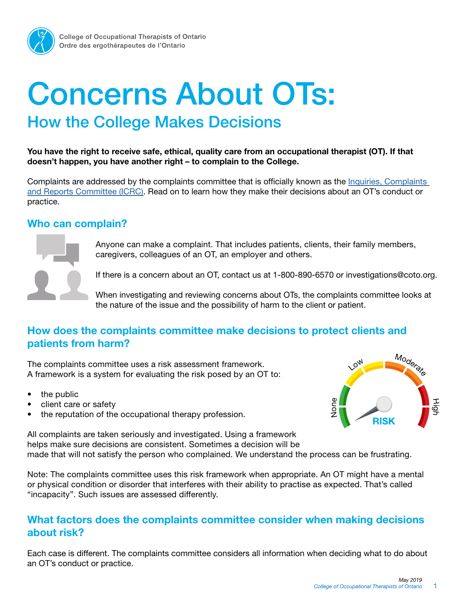

# How the College Makes Decisions Concerns About OTs:

You have the right to receive safe, ethical, quality care from an occupational therapist (OT). If that doesn't happen, you have another right – to complain to the College.

Complaints are addressed by the complaints committee that is officially known as th[e Inquiries, Complaints](https://www.coto.org/about/what-we-do/icrc)  [and Reports Committee \(ICRC\).](https://www.coto.org/about/what-we-do/icrc) Read on to learn how they make their decisions about an OT's conduct or practice.

#### Who can complain?



Anyone can make a complaint. That includes patients, clients, their family members, caregivers, colleagues of an OT, an employer and others.

If there is a concern about an OT, contact us at 1-800-890-6570 or [investigations@coto.org.](mailto:investigations@coto.org?)

When investigating and reviewing concerns about OTs, the complaints committee looks at the nature of the issue and the possibility of harm to the client or patient.

### How does the complaints committee make decisions to protect clients and patients from harm?

The complaints committee uses a risk assessment framework. A framework is a system for evaluating the risk posed by an OT to:

- the public
- client care or safety
- the reputation of the occupational therapy profession.



All complaints are taken seriously and investigated. Using a framework helps make sure decisions are consistent. Sometimes a decision will be made that will not satisfy the person who complained. We understand the process can be frustrating.

Note: The complaints committee uses this risk framework when appropriate. An OT might have a mental or physical condition or disorder that interferes with their ability to practise as expected. That's called "incapacity". Such issues are assessed differently.

### What factors does the complaints committee consider when making decisions about risk?

Each case is different. The complaints committee considers all information when deciding what to do about an OT's conduct or practice.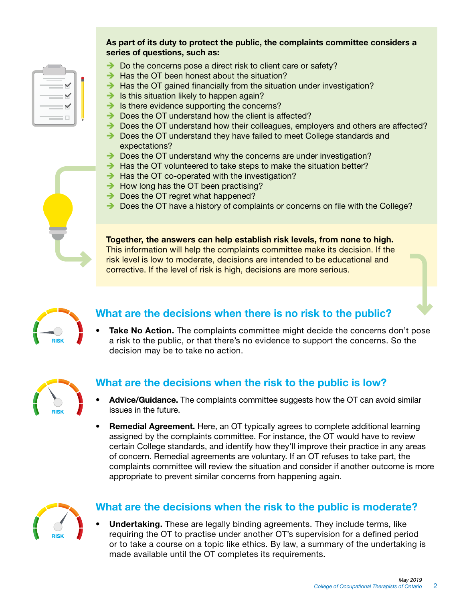#### As part of its duty to protect the public, the complaints committee considers a series of questions, such as:

- $\rightarrow$  Do the concerns pose a direct risk to client care or safety?
- $\rightarrow$  Has the OT been honest about the situation?
- $\rightarrow$  Has the OT gained financially from the situation under investigation?
- $\rightarrow$  Is this situation likely to happen again?
- $\rightarrow$  Is there evidence supporting the concerns?
- $\rightarrow$  Does the OT understand how the client is affected?
- $\rightarrow$  Does the OT understand how their colleagues, employers and others are affected?
- $\rightarrow$  Does the OT understand they have failed to meet College standards and expectations?
- $\rightarrow$  Does the OT understand why the concerns are under investigation?
- $\rightarrow$  Has the OT volunteered to take steps to make the situation better?
- $\rightarrow$  Has the OT co-operated with the investigation?
- $\rightarrow$  How long has the OT been practising?
- $\rightarrow$  Does the OT regret what happened?
- $\rightarrow$  Does the OT have a history of complaints or concerns on file with the College?

Together, the answers can help establish risk levels, from none to high. This information will help the complaints committee make its decision. If the risk level is low to moderate, decisions are intended to be educational and corrective. If the level of risk is high, decisions are more serious.



### What are the decisions when there is no risk to the public?

Take No Action. The complaints committee might decide the concerns don't pose a risk to the public, or that there's no evidence to support the concerns. So the decision may be to take no action.



### What are the decisions when the risk to the public is low?

- Advice/Guidance. The complaints committee suggests how the OT can avoid similar issues in the future.
- Remedial Agreement. Here, an OT typically agrees to complete additional learning assigned by the complaints committee. For instance, the OT would have to review certain College standards, and identify how they'll improve their practice in any areas of concern. Remedial agreements are voluntary. If an OT refuses to take part, the complaints committee will review the situation and consider if another outcome is more appropriate to prevent similar concerns from happening again.



### What are the decisions when the risk to the public is moderate?

**Undertaking.** These are legally binding agreements. They include terms, like requiring the OT to practise under another OT's supervision for a defined period or to take a course on a topic like ethics. By law, a summary of the undertaking is made available until the OT completes its requirements.